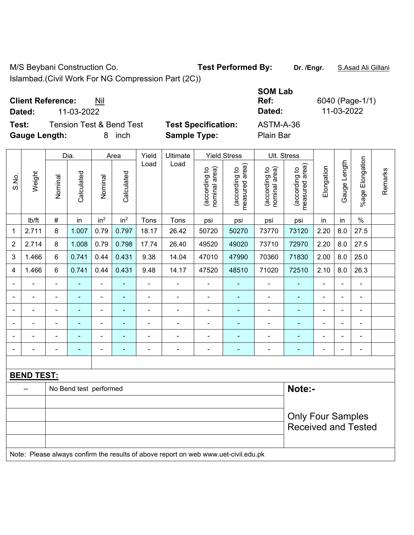M/S Beybani Construction Co. **Test Performed By: Dr. /Engr.** S.Asad Ali Gillani Islambad.(Civil Work For NG Compression Part (2C))

**Client Reference:** Nil

**Test:** Tension Test & Bend Test **Test Specification:** ASTM-A-36 **Gauge Length:** 8 inch **Sample Type:** Plain Bar

**SOM Lab Ref:** 6040 (Page-1/1) **Dated:** 11-03-2022 **Dated:** 11-03-2022

|                |                   |                                                                                     |                        |                          |                 | Ult. Stress    |                          |                                |                                 |                                |                                 |                |                |                       |         |
|----------------|-------------------|-------------------------------------------------------------------------------------|------------------------|--------------------------|-----------------|----------------|--------------------------|--------------------------------|---------------------------------|--------------------------------|---------------------------------|----------------|----------------|-----------------------|---------|
|                |                   |                                                                                     | Dia.                   |                          | Area            | Yield          | Ultimate                 |                                | <b>Yield Stress</b>             |                                |                                 |                |                |                       |         |
| S.No.          | Weight            | Nominal                                                                             | Calculated             | Nominal                  | Calculated      | Load           | Load                     | nominal area)<br>(according to | measured area)<br>(according to | (according to<br>nominal area) | measured area)<br>(according to | Elongation     | Gauge Length   | Elongation<br>$%$ age | Remarks |
|                | Ib/ft             | $\#$                                                                                | in                     | in <sup>2</sup>          | in <sup>2</sup> | Tons           | Tons                     | psi                            | psi                             | psi                            | psi                             | in             | in             | $\%$                  |         |
| $\mathbf 1$    | 2.711             | 8                                                                                   | 1.007                  | 0.79                     | 0.797           | 18.17          | 26.42                    | 50720                          | 50270                           | 73770                          | 73120                           | 2.20           | 8.0            | 27.5                  |         |
| $\overline{2}$ | 2.714             | 8                                                                                   | 1.008                  | 0.79                     | 0.798           | 17.74          | 26.40                    | 49520                          | 49020                           | 73710                          | 72970                           | 2.20           | 8.0            | 27.5                  |         |
| 3              | 1.466             | 6                                                                                   | 0.741                  | 0.44                     | 0.431           | 9.38           | 14.04                    | 47010                          | 47990                           | 70360                          | 71830                           | 2.00           | 8.0            | 25.0                  |         |
| 4              | 1.466             | $6\phantom{1}$                                                                      | 0.741                  | 0.44                     | 0.431           | 9.48           | 14.17                    | 47520                          | 48510                           | 71020                          | 72510                           | 2.10           | 8.0            | 26.3                  |         |
| ä,             |                   | ÷,                                                                                  | L,                     | $\blacksquare$           | ×,              | ÷,             | $\overline{\phantom{0}}$ | ÷,                             | ÷                               | $\blacksquare$                 | $\blacksquare$                  | $\blacksquare$ | $\blacksquare$ | $\blacksquare$        |         |
|                |                   | $\blacksquare$                                                                      | ÷,                     | $\blacksquare$           | ٠               | $\blacksquare$ | ä,                       | $\blacksquare$                 |                                 | $\blacksquare$                 | $\blacksquare$                  | ä,             | $\overline{a}$ | $\blacksquare$        |         |
|                |                   |                                                                                     | $\blacksquare$         | $\blacksquare$           | ٠               | $\blacksquare$ | $\blacksquare$           | $\blacksquare$                 | $\blacksquare$                  |                                | $\blacksquare$                  | $\blacksquare$ |                |                       |         |
|                |                   | $\blacksquare$                                                                      |                        | ÷                        |                 |                |                          | $\blacksquare$                 |                                 |                                |                                 | $\blacksquare$ |                |                       |         |
|                |                   |                                                                                     | ۰                      | $\blacksquare$           |                 | $\blacksquare$ | $\blacksquare$           | $\blacksquare$                 | $\blacksquare$                  | $\blacksquare$                 |                                 | $\blacksquare$ | $\blacksquare$ | $\blacksquare$        |         |
| ۰              |                   |                                                                                     | ۰                      | $\overline{\phantom{a}}$ | ٠               | $\blacksquare$ | ÷                        | $\blacksquare$                 | $\blacksquare$                  | $\blacksquare$                 | $\blacksquare$                  | $\blacksquare$ | $\overline{a}$ | $\blacksquare$        |         |
|                |                   |                                                                                     |                        |                          |                 |                |                          |                                |                                 |                                |                                 |                |                |                       |         |
|                | <b>BEND TEST:</b> |                                                                                     |                        |                          |                 |                |                          |                                |                                 |                                |                                 |                |                |                       |         |
|                | --                |                                                                                     | No Bend test performed |                          |                 |                |                          |                                |                                 |                                | Note:-                          |                |                |                       |         |
|                |                   |                                                                                     |                        |                          |                 |                |                          |                                |                                 |                                |                                 |                |                |                       |         |
|                |                   | <b>Only Four Samples</b>                                                            |                        |                          |                 |                |                          |                                |                                 |                                |                                 |                |                |                       |         |
|                |                   |                                                                                     |                        |                          |                 |                |                          |                                |                                 |                                | <b>Received and Tested</b>      |                |                |                       |         |
|                |                   |                                                                                     |                        |                          |                 |                |                          |                                |                                 |                                |                                 |                |                |                       |         |
|                |                   | Note: Please always confirm the results of above report on web www.uet-civil.edu.pk |                        |                          |                 |                |                          |                                |                                 |                                |                                 |                |                |                       |         |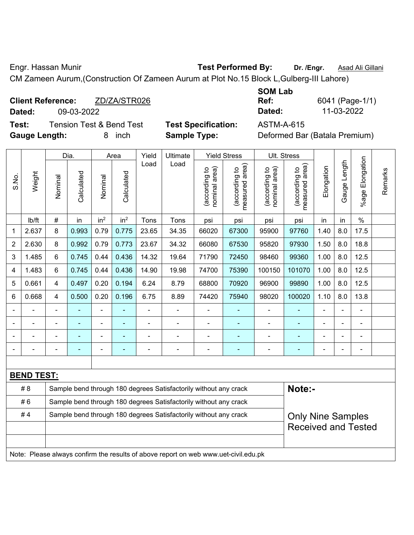Engr. Hassan Munir **Test Performed By:** Dr. /Engr. **Asad Ali Gillani Engr.** Asad Ali Gillani

CM Zameen Aurum,(Construction Of Zameen Aurum at Plot No.15 Block L,Gulberg-III Lahore)

| <b>Client Reference:</b> |            | ZD/ZA/STR026 |
|--------------------------|------------|--------------|
| Dated:                   | 09-03-2022 |              |

**Test:** Tension Test & Bend Test **Test Specification:** ASTM-A-615 **Gauge Length:** 8 inch **Sample Type:** Deformed Bar (Batala Premium)

| <b>SOM Lab</b> |    |
|----------------|----|
| Ref:           | 60 |
| Dated:         |    |

041 (Page-1/1) **Dated:** 09-03-2022 **Dated:** 11-03-2022

|                |                                                                                     |                | Dia.           |                 | Area            | Yield | Ultimate                                                         |                                | <b>Yield Stress</b>             | Ult. Stress                    |                                 |                |                          |                         |         |
|----------------|-------------------------------------------------------------------------------------|----------------|----------------|-----------------|-----------------|-------|------------------------------------------------------------------|--------------------------------|---------------------------------|--------------------------------|---------------------------------|----------------|--------------------------|-------------------------|---------|
| S.No.          | Weight                                                                              | Nominal        | Calculated     | Nominal         | Calculated      | Load  | Load                                                             | nominal area)<br>(according to | (according to<br>measured area) | nominal area)<br>(according to | measured area)<br>(according to | Elongation     | Gauge Length             | Elongation<br>$%$ age I | Remarks |
|                | lb/ft                                                                               | #              | in             | in <sup>2</sup> | in <sup>2</sup> | Tons  | Tons                                                             | psi                            | psi                             | psi                            | psi                             | in             | in                       | $\frac{0}{0}$           |         |
| 1              | 2.637                                                                               | 8              | 0.993          | 0.79            | 0.775           | 23.65 | 34.35                                                            | 66020                          | 67300                           | 95900                          | 97760                           | 1.40           | 8.0                      | 17.5                    |         |
| $\overline{2}$ | 2.630                                                                               | 8              | 0.992          | 0.79            | 0.773           | 23.67 | 34.32                                                            | 66080                          | 67530                           | 95820                          | 97930                           | 1.50           | 8.0                      | 18.8                    |         |
| 3              | 1.485                                                                               | 6              | 0.745          | 0.44            | 0.436           | 14.32 | 19.64                                                            | 71790                          | 72450                           | 98460                          | 99360                           | 1.00           | 8.0                      | 12.5                    |         |
| 4              | 1.483                                                                               | 6              | 0.745          | 0.44            | 0.436           | 14.90 | 19.98                                                            | 74700                          | 75390                           | 100150                         | 101070                          | 1.00           | 8.0                      | 12.5                    |         |
| 5              | 0.661                                                                               | 4              | 0.497          | 0.20            | 0.194           | 6.24  | 8.79                                                             | 68800                          | 70920                           | 96900                          | 99890                           | 1.00           | 8.0                      | 12.5                    |         |
| 6              | 0.668                                                                               | 4              | 0.500          | 0.20            | 0.196           | 6.75  | 8.89                                                             | 74420                          | 75940                           | 98020                          | 100020                          | 1.10           | 8.0                      | 13.8                    |         |
|                | ÷,                                                                                  | ä,             | $\blacksquare$ | $\overline{a}$  |                 | ÷     | $\blacksquare$                                                   | L,                             | $\overline{\phantom{a}}$        | -                              | $\blacksquare$                  | $\blacksquare$ | ÷,                       | ÷,                      |         |
|                | ÷                                                                                   | $\blacksquare$ | $\blacksquare$ | ÷,              |                 | ÷     | $\blacksquare$                                                   | L,                             | $\blacksquare$                  | ä,                             | ÷,                              | $\blacksquare$ | $\blacksquare$           | $\blacksquare$          |         |
|                |                                                                                     |                | $\blacksquare$ | $\blacksquare$  |                 |       | ÷                                                                |                                | $\blacksquare$                  | ä,                             | ۰                               |                |                          | $\blacksquare$          |         |
|                |                                                                                     |                |                | ۰               |                 |       | $\blacksquare$                                                   |                                |                                 |                                | $\overline{\phantom{0}}$        |                | $\overline{\phantom{0}}$ | $\blacksquare$          |         |
|                |                                                                                     |                |                |                 |                 |       |                                                                  |                                |                                 |                                |                                 |                |                          |                         |         |
|                | <b>BEND TEST:</b>                                                                   |                |                |                 |                 |       |                                                                  |                                |                                 |                                |                                 |                |                          |                         |         |
|                | #8                                                                                  |                |                |                 |                 |       | Sample bend through 180 degrees Satisfactorily without any crack |                                |                                 |                                | Note:-                          |                |                          |                         |         |
|                | #6                                                                                  |                |                |                 |                 |       | Sample bend through 180 degrees Satisfactorily without any crack |                                |                                 |                                |                                 |                |                          |                         |         |
|                | #4                                                                                  |                |                |                 |                 |       | Sample bend through 180 degrees Satisfactorily without any crack |                                |                                 |                                | <b>Only Nine Samples</b>        |                |                          |                         |         |
|                |                                                                                     |                |                |                 |                 |       |                                                                  |                                |                                 |                                | <b>Received and Tested</b>      |                |                          |                         |         |
|                |                                                                                     |                |                |                 |                 |       |                                                                  |                                |                                 |                                |                                 |                |                          |                         |         |
|                | Note: Please always confirm the results of above report on web www.uet-civil.edu.pk |                |                |                 |                 |       |                                                                  |                                |                                 |                                |                                 |                |                          |                         |         |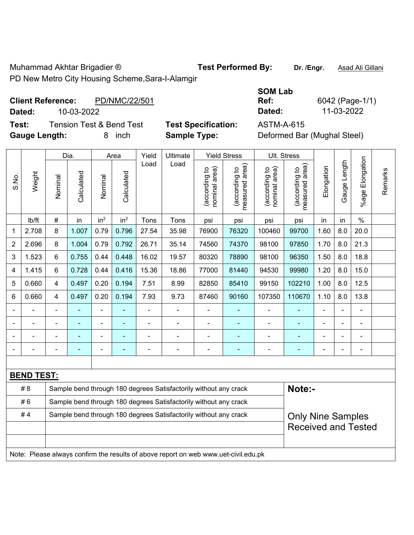Muhammad Akhtar Brigadier ® **Test Performed By: Dr. /Engr.** Asad Ali Gillani PD New Metro City Housing Scheme,Sara-I-Alamgir

## **Client Reference:** PD/NMC/22/501

|       | Dated:               |         | 10-03-2022                          |         |                    |               |                     |                                               |                                                             | 11-03-2022<br>Dated:                                  |                                          |            |                 |                       |
|-------|----------------------|---------|-------------------------------------|---------|--------------------|---------------|---------------------|-----------------------------------------------|-------------------------------------------------------------|-------------------------------------------------------|------------------------------------------|------------|-----------------|-----------------------|
| Test: | <b>Gauge Length:</b> |         | <b>Tension Test &amp; Bend Test</b> | 8       | inch               |               | <b>Sample Type:</b> | <b>Test Specification:</b>                    |                                                             | <b>ASTM-A-615</b>                                     | Deformed Bar (Mughal Steel)              |            |                 |                       |
| S.No. | Weight               | Nominal | Dia.<br>Calculated                  | Nominal | Area<br>Calculated | Yield<br>Load | Ultimate<br>Load    | ea)<br>요<br>ဥ<br>ᡕᢐ<br>accordir)<br>nominal a | <b>Yield Stress</b><br>area)<br>요<br>(according<br>measured | Ult. Stress<br>rea)<br>ੂ<br>(according<br>nominal are | rea)<br>đ<br>(according<br>Ш<br>measured | Elongation | Length<br>Gauge | Elongation<br>$%$ age |
|       |                      |         |                                     |         |                    |               |                     |                                               |                                                             |                                                       |                                          |            |                 |                       |

Remarks

Remarks

**Ref:** 6042 (Page-1/1)

**SOM Lab** 

|                | lb/ft             | #                                                                                            | in    | in <sup>2</sup> | in <sup>2</sup> | Tons  | Tons                                                             | psi            | psi   | psi    | psi    | in   | in             | $\%$ |  |
|----------------|-------------------|----------------------------------------------------------------------------------------------|-------|-----------------|-----------------|-------|------------------------------------------------------------------|----------------|-------|--------|--------|------|----------------|------|--|
| 1              | 2.708             | 8                                                                                            | 1.007 | 0.79            | 0.796           | 27.54 | 35.98                                                            | 76900          | 76320 | 100460 | 99700  | 1.60 | 8.0            | 20.0 |  |
| $\overline{2}$ | 2.696             | 8                                                                                            | 1.004 | 0.79            | 0.792           | 26.71 | 35.14                                                            | 74560          | 74370 | 98100  | 97850  | 1.70 | 8.0            | 21.3 |  |
| 3              | 1.523             | 6                                                                                            | 0.755 | 0.44            | 0.448           | 16.02 | 19.57                                                            | 80320          | 78890 | 98100  | 96350  | 1.50 | 8.0            | 18.8 |  |
| 4              | 1.415             | 6                                                                                            | 0.728 | 0.44            | 0.416           | 15.36 | 18.86                                                            | 77000          | 81440 | 94530  | 99980  | 1.20 | 8.0            | 15.0 |  |
| 5              | 0.660             | 4                                                                                            | 0.497 | 0.20            | 0.194           | 7.51  | 8.99                                                             | 82850          | 85410 | 99150  | 102210 | 1.00 | 8.0            | 12.5 |  |
| 6              | 0.660             | $\overline{4}$                                                                               | 0.497 | 0.20            | 0.194           | 7.93  | 9.73                                                             | 87460          | 90160 | 107350 | 110670 | 1.10 | 8.0            | 13.8 |  |
|                |                   |                                                                                              |       |                 |                 |       |                                                                  |                |       |        |        |      |                |      |  |
|                |                   |                                                                                              |       |                 |                 |       | $\blacksquare$                                                   | $\blacksquare$ |       |        |        |      | $\blacksquare$ |      |  |
|                |                   |                                                                                              |       |                 |                 |       | $\blacksquare$                                                   |                |       |        |        |      | -              |      |  |
|                |                   |                                                                                              |       |                 |                 |       | -                                                                |                |       |        |        |      | ۰              |      |  |
|                |                   |                                                                                              |       |                 |                 |       |                                                                  |                |       |        |        |      |                |      |  |
|                | <b>BEND TEST:</b> |                                                                                              |       |                 |                 |       |                                                                  |                |       |        |        |      |                |      |  |
|                | # 8               |                                                                                              |       |                 |                 |       | Sample bend through 180 degrees Satisfactorily without any crack |                |       |        | Note:- |      |                |      |  |
|                | # 6               |                                                                                              |       |                 |                 |       | Sample bend through 180 degrees Satisfactorily without any crack |                |       |        |        |      |                |      |  |
|                | #4                | Sample bend through 180 degrees Satisfactorily without any crack<br><b>Only Nine Samples</b> |       |                 |                 |       |                                                                  |                |       |        |        |      |                |      |  |

Received and Tested

Note: Please always confirm the results of above report on web www.uet-civil.edu.pk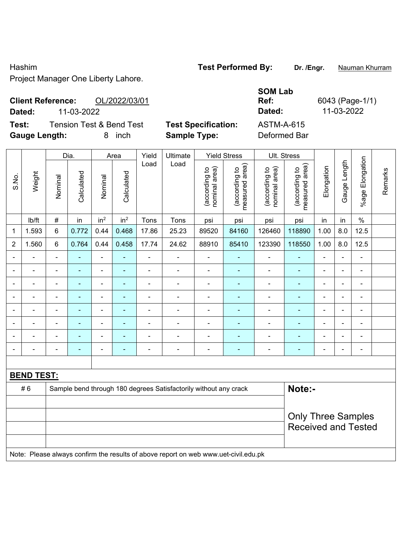## Hashim **Test Performed By:** Dr. /Engr. **Nauman Khurram** Project Manager One Liberty Lahore.

## **Client Reference:** OL/2022/03/01 **Dated:** 11-03-2022 **Dated:** 11-03-2022

**Test:** Tension Test & Bend Test **Test Specification:** ASTM-A-615 **Gauge Length:** 8 inch **Sample Type:** Deformed Bar

**SOM Lab Ref:** 6043 (Page-1/1)

|                |                   |                           | Dia.           |                          | Area            | Yield          | Ultimate                                                                            |                                | <b>Yield Stress</b>             |                                | Ult. Stress                     |                          |                |                              |         |
|----------------|-------------------|---------------------------|----------------|--------------------------|-----------------|----------------|-------------------------------------------------------------------------------------|--------------------------------|---------------------------------|--------------------------------|---------------------------------|--------------------------|----------------|------------------------------|---------|
| S.No.          | Weight            | Nominal                   | Calculated     | Nominal                  | Calculated      | Load           | Load                                                                                | (according to<br>nominal area) | measured area)<br>(according to | nominal area)<br>(according to | (according to<br>measured area) | Elongation               | Gauge Length   | %age Elongation              | Remarks |
|                | lb/ft             | $\#$                      | in             | in <sup>2</sup>          | in <sup>2</sup> | Tons           | Tons                                                                                | psi                            | psi                             | psi                            | psi                             | in                       | in             | $\frac{0}{0}$                |         |
| $\mathbf{1}$   | 1.593             | $6\phantom{1}$            | 0.772          | 0.44                     | 0.468           | 17.86          | 25.23                                                                               | 89520                          | 84160                           | 126460                         | 118890                          | 1.00                     | 8.0            | 12.5                         |         |
| $\overline{2}$ | 1.560             | $6\phantom{1}$            | 0.764          | 0.44                     | 0.458           | 17.74          | 24.62                                                                               | 88910                          | 85410                           | 123390                         | 118550                          | 1.00                     | 8.0            | 12.5                         |         |
| $\blacksquare$ |                   | $\blacksquare$            | $\blacksquare$ | $\blacksquare$           | $\blacksquare$  | $\blacksquare$ | $\blacksquare$                                                                      | $\blacksquare$                 | $\blacksquare$                  | $\blacksquare$                 | $\blacksquare$                  | $\blacksquare$           | $\blacksquare$ | $\overline{\phantom{a}}$     |         |
| ä,             |                   | $\blacksquare$            | $\blacksquare$ | ÷,                       | ä,              | $\blacksquare$ | $\blacksquare$                                                                      | $\blacksquare$                 | ÷,                              | ä,                             | $\blacksquare$                  | ä,                       | $\blacksquare$ | ÷,                           |         |
| $\blacksquare$ | $\blacksquare$    | ä,                        | $\blacksquare$ | $\blacksquare$           | ÷               | $\blacksquare$ | $\frac{1}{2}$                                                                       | ä,                             | $\blacksquare$                  | $\blacksquare$                 | $\blacksquare$                  | $\blacksquare$           | $\blacksquare$ | $\blacksquare$               |         |
| $\blacksquare$ | $\blacksquare$    | $\blacksquare$            | $\blacksquare$ | $\overline{\phantom{0}}$ | $\overline{a}$  | $\blacksquare$ | $\frac{1}{2}$                                                                       | $\blacksquare$                 | $\blacksquare$                  | $\blacksquare$                 | $\blacksquare$                  | $\overline{a}$           |                | ÷,                           |         |
|                |                   | $\blacksquare$            | L.             | $\blacksquare$           |                 | $\blacksquare$ | $\blacksquare$                                                                      | $\blacksquare$                 | $\blacksquare$                  | $\blacksquare$                 | $\blacksquare$                  | $\overline{\phantom{a}}$ |                | $\blacksquare$               |         |
|                |                   | $\blacksquare$            | -              | $\blacksquare$           |                 | $\blacksquare$ | $\blacksquare$                                                                      | $\blacksquare$                 |                                 | ٠                              |                                 |                          |                | $\blacksquare$               |         |
|                |                   | $\blacksquare$            | ä,             | $\overline{a}$           |                 |                | $\blacksquare$                                                                      | $\blacksquare$                 |                                 | $\blacksquare$                 |                                 | ٠                        | $\blacksquare$ | $\blacksquare$               |         |
| $\blacksquare$ |                   | $\blacksquare$            | $\blacksquare$ | ÷                        | ٠               | $\blacksquare$ | $\qquad \qquad \blacksquare$                                                        | $\blacksquare$                 | $\blacksquare$                  | $\blacksquare$                 | ٠                               | ÷                        | $\blacksquare$ | $\qquad \qquad \blacksquare$ |         |
|                |                   |                           |                |                          |                 |                |                                                                                     |                                |                                 |                                |                                 |                          |                |                              |         |
|                | <b>BEND TEST:</b> |                           |                |                          |                 |                |                                                                                     |                                |                                 |                                |                                 |                          |                |                              |         |
|                | #6                |                           |                |                          |                 |                | Sample bend through 180 degrees Satisfactorily without any crack                    |                                |                                 |                                | Note:-                          |                          |                |                              |         |
|                |                   |                           |                |                          |                 |                |                                                                                     |                                |                                 |                                |                                 |                          |                |                              |         |
|                |                   | <b>Only Three Samples</b> |                |                          |                 |                |                                                                                     |                                |                                 |                                |                                 |                          |                |                              |         |
|                |                   |                           |                |                          |                 |                |                                                                                     |                                |                                 |                                | <b>Received and Tested</b>      |                          |                |                              |         |
|                |                   |                           |                |                          |                 |                |                                                                                     |                                |                                 |                                |                                 |                          |                |                              |         |
|                |                   |                           |                |                          |                 |                | Note: Please always confirm the results of above report on web www.uet-civil.edu.pk |                                |                                 |                                |                                 |                          |                |                              |         |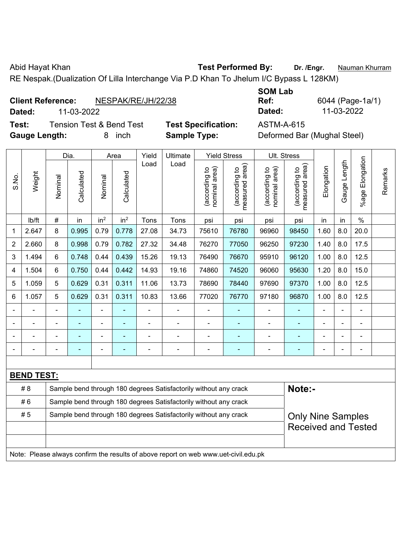RE Nespak.(Dualization Of Lilla Interchange Via P.D Khan To Jhelum I/C Bypass L 128KM)

**Dated:** 11-03-2022 **Dated:** 11-03-2022

**Test:** Tension Test & Bend Test **Test Specification:** ASTM-A-615 **Gauge Length:** 8 inch **Sample Type:** Deformed Bar (Mughal Steel)

| <b>SOM Lab</b> |     |
|----------------|-----|
| Ref:           | 604 |
| Dated:         | 11. |

4 (Page-1a/1)

|                |                                                                                     |                | Dia.       |                 | Area            | Yield | Ultimate                                                         |                                | <b>Yield Stress</b>             | Ult. Stress                    |                                 |                |              |                       |         |
|----------------|-------------------------------------------------------------------------------------|----------------|------------|-----------------|-----------------|-------|------------------------------------------------------------------|--------------------------------|---------------------------------|--------------------------------|---------------------------------|----------------|--------------|-----------------------|---------|
| S.No.          | Weight                                                                              | Nominal        | Calculated | Nominal         | Calculated      | Load  | Load                                                             | nominal area)<br>(according to | (according to<br>measured area) | nominal area)<br>(according to | measured area)<br>(according to | Elongation     | Gauge Length | Elongation<br>$%$ age | Remarks |
|                | Ib/ft                                                                               | $\#$           | in         | in <sup>2</sup> | in <sup>2</sup> | Tons  | Tons                                                             | psi                            | psi                             | psi                            | psi                             | in             | in           | $\%$                  |         |
| 1              | 2.647                                                                               | 8              | 0.995      | 0.79            | 0.778           | 27.08 | 34.73                                                            | 75610                          | 76780                           | 96960                          | 98450                           | 1.60           | 8.0          | 20.0                  |         |
| $\overline{2}$ | 2.660                                                                               | 8              | 0.998      | 0.79            | 0.782           | 27.32 | 34.48                                                            | 76270                          | 77050                           | 96250                          | 97230                           | 1.40           | 8.0          | 17.5                  |         |
| 3              | 1.494                                                                               | 6              | 0.748      | 0.44            | 0.439           | 15.26 | 19.13                                                            | 76490                          | 76670                           | 95910                          | 96120                           | 1.00           | 8.0          | 12.5                  |         |
| 4              | 1.504                                                                               | 6              | 0.750      | 0.44            | 0.442           | 14.93 | 19.16                                                            | 74860                          | 74520                           | 96060                          | 95630                           | 1.20           | 8.0          | 15.0                  |         |
| 5              | 1.059                                                                               | 5              | 0.629      | 0.31            | 0.311           | 11.06 | 13.73                                                            | 78690                          | 78440                           | 97690                          | 97370                           | 1.00           | 8.0          | 12.5                  |         |
| 6              | 1.057                                                                               | 5              | 0.629      | 0.31            | 0.311           | 10.83 | 13.66                                                            | 77020                          | 76770                           | 97180                          | 96870                           | 1.00           | 8.0          | 12.5                  |         |
|                | ÷                                                                                   | $\blacksquare$ | ÷          | ÷,              |                 |       | $\blacksquare$                                                   | $\blacksquare$                 | ÷                               | ÷,                             | $\blacksquare$                  | $\blacksquare$ | ä,           | ÷,                    |         |
|                | $\blacksquare$                                                                      | $\blacksquare$ | ÷          | ÷,              |                 |       | Ē,                                                               | $\blacksquare$                 | ÷                               | ÷,                             | ٠                               | $\blacksquare$ | ä,           | $\blacksquare$        |         |
|                |                                                                                     |                |            | $\blacksquare$  |                 |       | Ē,                                                               |                                | $\blacksquare$                  | $\blacksquare$                 | ٠                               |                |              | ä,                    |         |
|                |                                                                                     |                |            |                 |                 |       |                                                                  |                                |                                 |                                |                                 |                |              | $\blacksquare$        |         |
|                |                                                                                     |                |            |                 |                 |       |                                                                  |                                |                                 |                                |                                 |                |              |                       |         |
|                | <b>BEND TEST:</b>                                                                   |                |            |                 |                 |       |                                                                  |                                |                                 |                                |                                 |                |              |                       |         |
|                | # 8                                                                                 |                |            |                 |                 |       | Sample bend through 180 degrees Satisfactorily without any crack |                                |                                 |                                | Note:-                          |                |              |                       |         |
|                | #6                                                                                  |                |            |                 |                 |       | Sample bend through 180 degrees Satisfactorily without any crack |                                |                                 |                                |                                 |                |              |                       |         |
|                | #5                                                                                  |                |            |                 |                 |       | Sample bend through 180 degrees Satisfactorily without any crack |                                |                                 |                                | <b>Only Nine Samples</b>        |                |              |                       |         |
|                |                                                                                     |                |            |                 |                 |       |                                                                  |                                |                                 |                                | <b>Received and Tested</b>      |                |              |                       |         |
|                |                                                                                     |                |            |                 |                 |       |                                                                  |                                |                                 |                                |                                 |                |              |                       |         |
|                | Note: Please always confirm the results of above report on web www.uet-civil.edu.pk |                |            |                 |                 |       |                                                                  |                                |                                 |                                |                                 |                |              |                       |         |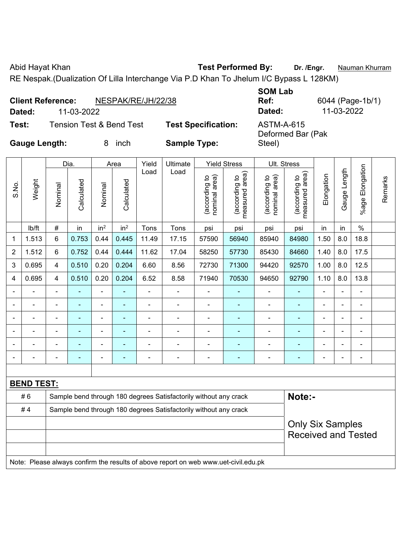RE Nespak.(Dualization Of Lilla Interchange Via P.D Khan To Jhelum I/C Bypass L 128KM)

| Dated:               | NESPAK/RE/JH/22/38<br><b>Client Reference:</b><br>11-03-2022 |                            | <b>SOM Lab</b><br>Ref:<br>Dated: | 6044 (Page-1b/1)<br>11-03-2022 |
|----------------------|--------------------------------------------------------------|----------------------------|----------------------------------|--------------------------------|
| Test:                | <b>Tension Test &amp; Bend Test</b>                          | <b>Test Specification:</b> | ASTM-A-615<br>Deformed Bar (Pak  |                                |
| <b>Gauge Length:</b> | inch<br>8.                                                   | <b>Sample Type:</b>        | Steel)                           |                                |

|                |                                                                                     |                                                                  | Dia.                     |                 | Area            | Yield          | Ultimate                                                         |                                | <b>Yield Stress</b>             | Ult. Stress                    |                                 |                |              |                 |         |
|----------------|-------------------------------------------------------------------------------------|------------------------------------------------------------------|--------------------------|-----------------|-----------------|----------------|------------------------------------------------------------------|--------------------------------|---------------------------------|--------------------------------|---------------------------------|----------------|--------------|-----------------|---------|
|                |                                                                                     |                                                                  |                          |                 |                 | Load           | Load                                                             |                                |                                 |                                |                                 |                |              |                 |         |
| S.No.          | Weight                                                                              |                                                                  | Calculated               |                 | Calculated      |                |                                                                  | nominal area)<br>(according to | measured area)<br>(according to | nominal area)<br>(according to | measured area)<br>(according to | Elongation     | Gauge Length | %age Elongation | Remarks |
|                |                                                                                     | Nominal                                                          |                          | Nominal         |                 |                |                                                                  |                                |                                 |                                |                                 |                |              |                 |         |
|                |                                                                                     |                                                                  |                          |                 |                 |                |                                                                  |                                |                                 |                                |                                 |                |              |                 |         |
|                | lb/ft                                                                               | #                                                                | in                       | in <sup>2</sup> | in <sup>2</sup> | Tons           | Tons                                                             | psi                            | psi                             | psi                            | psi                             | in             | in           | $\%$            |         |
| 1              | 1.513                                                                               | 6                                                                | 0.753                    | 0.44            | 0.445           | 11.49          | 17.15                                                            | 57590                          | 56940                           | 85940                          | 84980                           | 1.50           | 8.0          | 18.8            |         |
| 2              | 1.512                                                                               | 6                                                                | 0.752                    | 0.44            | 0.444           | 11.62          | 17.04                                                            | 58250                          | 57730                           | 85430                          | 84660                           | 1.40           | 8.0          | 17.5            |         |
| 3              | 0.695                                                                               | 4                                                                | 0.510                    | 0.20            | 0.204           | 6.60           | 8.56                                                             | 72730                          | 71300                           | 94420                          | 92570                           | 1.00           | 8.0          | 12.5            |         |
| 4              | 0.695                                                                               | 4                                                                | 0.510                    | 0.20            | 0.204           | 6.52           | 8.58                                                             | 71940                          | 70530                           | 94650                          | 92790                           | 1.10           | 8.0          | 13.8            |         |
|                |                                                                                     | $\blacksquare$                                                   | $\blacksquare$           | L.              |                 | ÷              |                                                                  |                                |                                 | $\blacksquare$                 | $\blacksquare$                  | $\blacksquare$ |              | $\blacksquare$  |         |
|                |                                                                                     |                                                                  |                          |                 |                 |                |                                                                  |                                |                                 |                                |                                 |                |              |                 |         |
|                |                                                                                     | $\blacksquare$                                                   | $\overline{\phantom{0}}$ | $\blacksquare$  |                 | $\blacksquare$ | ÷                                                                | $\blacksquare$                 | $\blacksquare$                  | $\blacksquare$                 |                                 | $\blacksquare$ |              | $\blacksquare$  |         |
| $\blacksquare$ |                                                                                     | ä,                                                               | ÷                        | ÷               | ٠               | -              | ÷                                                                | $\blacksquare$                 | ÷                               | $\blacksquare$                 | ÷,                              | $\blacksquare$ | ÷            | $\blacksquare$  |         |
|                |                                                                                     |                                                                  | ÷                        | ä,              |                 | ä,             | ä,                                                               | L,                             | ۰                               |                                |                                 | $\blacksquare$ |              | ä,              |         |
| $\blacksquare$ |                                                                                     | $\blacksquare$                                                   | $\blacksquare$           | $\overline{a}$  | ٠               | -              | $\blacksquare$                                                   |                                | ۰                               | $\overline{a}$                 | $\blacksquare$                  | $\blacksquare$ |              | $\overline{a}$  |         |
|                |                                                                                     |                                                                  |                          |                 |                 |                |                                                                  |                                |                                 |                                |                                 |                |              |                 |         |
|                | <b>BEND TEST:</b>                                                                   |                                                                  |                          |                 |                 |                |                                                                  |                                |                                 |                                |                                 |                |              |                 |         |
|                | #6                                                                                  |                                                                  |                          |                 |                 |                | Sample bend through 180 degrees Satisfactorily without any crack |                                |                                 |                                | Note:-                          |                |              |                 |         |
|                | #4                                                                                  | Sample bend through 180 degrees Satisfactorily without any crack |                          |                 |                 |                |                                                                  |                                |                                 |                                |                                 |                |              |                 |         |
|                |                                                                                     | <b>Only Six Samples</b>                                          |                          |                 |                 |                |                                                                  |                                |                                 |                                |                                 |                |              |                 |         |
|                |                                                                                     |                                                                  |                          |                 |                 |                |                                                                  |                                |                                 |                                | <b>Received and Tested</b>      |                |              |                 |         |
|                |                                                                                     |                                                                  |                          |                 |                 |                |                                                                  |                                |                                 |                                |                                 |                |              |                 |         |
|                | Note: Please always confirm the results of above report on web www.uet-civil.edu.pk |                                                                  |                          |                 |                 |                |                                                                  |                                |                                 |                                |                                 |                |              |                 |         |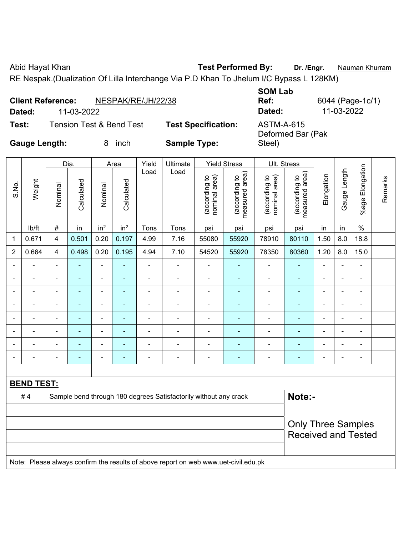RE Nespak.(Dualization Of Lilla Interchange Via P.D Khan To Jhelum I/C Bypass L 128KM)

|                      | NESPAK/RE/JH/22/38<br><b>Client Reference:</b> |                            | <b>SOM Lab</b><br>Ref:                 | 6044 (Page-1c/1) |
|----------------------|------------------------------------------------|----------------------------|----------------------------------------|------------------|
| Dated:               | 11-03-2022                                     |                            | Dated:                                 | 11-03-2022       |
| Test:                | <b>Tension Test &amp; Bend Test</b>            | <b>Test Specification:</b> | <b>ASTM-A-615</b><br>Deformed Bar (Pak |                  |
| <b>Gauge Length:</b> | inch                                           | <b>Sample Type:</b>        | Steel)                                 |                  |

|                          |                   |                                                                  | Dia.           |                              | Area            | Yield          | Ultimate       |                                | <b>Yield Stress</b>             | Ult. Stress                    |                                 |                          |                          |                 |         |
|--------------------------|-------------------|------------------------------------------------------------------|----------------|------------------------------|-----------------|----------------|----------------|--------------------------------|---------------------------------|--------------------------------|---------------------------------|--------------------------|--------------------------|-----------------|---------|
| S.No.                    | Weight            | Nominal                                                          | Calculated     | Nominal                      | Calculated      | Load           | Load           | nominal area)<br>(according to | measured area)<br>(according to | nominal area)<br>(according to | (according to<br>measured area) | Elongation               | Gauge Length             | %age Elongation | Remarks |
|                          | lb/ft             | $\#$                                                             | in             | in <sup>2</sup>              | in <sup>2</sup> | Tons           | Tons           | psi                            | psi                             | psi                            | psi                             | in                       | in                       | $\%$            |         |
| 1                        | 0.671             | 4                                                                | 0.501          | 0.20                         | 0.197           | 4.99           | 7.16           | 55080                          | 55920                           | 78910                          | 80110                           | 1.50                     | 8.0                      | 18.8            |         |
| $\overline{2}$           | 0.664             | 4                                                                | 0.498          | 0.20                         | 0.195           | 4.94           | 7.10           | 54520                          | 55920                           | 78350                          | 80360                           | 1.20                     | 8.0                      | 15.0            |         |
| $\blacksquare$           |                   |                                                                  |                | ÷                            |                 | $\blacksquare$ | $\overline{a}$ | ÷                              |                                 |                                |                                 | $\overline{a}$           |                          | $\blacksquare$  |         |
| $\blacksquare$           | $\blacksquare$    | $\blacksquare$                                                   | $\blacksquare$ | $\qquad \qquad \blacksquare$ | $\blacksquare$  | $\blacksquare$ | ÷              | $\blacksquare$                 | $\blacksquare$                  | ÷                              | $\blacksquare$                  | $\overline{\phantom{a}}$ | $\blacksquare$           | ÷               |         |
| $\blacksquare$           | ۳                 | $\blacksquare$                                                   | $\blacksquare$ | $\blacksquare$               | ÷.              | $\blacksquare$ | ä,             | ä,                             | $\blacksquare$                  | $\blacksquare$                 | $\blacksquare$                  | $\blacksquare$           | L.                       | ÷               |         |
|                          |                   |                                                                  |                | ۰                            |                 | $\blacksquare$ |                |                                |                                 |                                |                                 |                          |                          | $\blacksquare$  |         |
| $\blacksquare$           |                   | $\blacksquare$                                                   | ÷              | $\blacksquare$               |                 | ä,             | $\blacksquare$ | $\blacksquare$                 | ۰                               |                                |                                 | $\blacksquare$           | $\blacksquare$           | $\blacksquare$  |         |
| $\overline{\phantom{a}}$ |                   | $\blacksquare$                                                   | $\blacksquare$ | $\overline{\phantom{a}}$     | ٠               | $\blacksquare$ | ÷              | ä,                             | $\blacksquare$                  | ÷                              | $\blacksquare$                  | $\blacksquare$           | $\overline{\phantom{0}}$ | ÷               |         |
|                          |                   | ٠                                                                | $\blacksquare$ | ۰                            |                 | ÷              |                | $\blacksquare$                 |                                 |                                |                                 |                          |                          | $\blacksquare$  |         |
|                          |                   |                                                                  |                | ÷                            |                 | $\blacksquare$ | $\blacksquare$ | ä,                             | ÷                               | $\overline{\phantom{0}}$       |                                 | $\blacksquare$           |                          | $\blacksquare$  |         |
|                          |                   |                                                                  |                |                              |                 |                |                |                                |                                 |                                |                                 |                          |                          |                 |         |
|                          | <b>BEND TEST:</b> |                                                                  |                |                              |                 |                |                |                                |                                 |                                |                                 |                          |                          |                 |         |
|                          | #4                | Sample bend through 180 degrees Satisfactorily without any crack |                |                              |                 |                |                |                                |                                 |                                | Note:-                          |                          |                          |                 |         |
|                          |                   |                                                                  |                |                              |                 |                |                |                                |                                 |                                |                                 |                          |                          |                 |         |
|                          |                   |                                                                  |                |                              |                 |                |                |                                |                                 |                                | <b>Only Three Samples</b>       |                          |                          |                 |         |
|                          |                   |                                                                  |                |                              |                 |                |                |                                |                                 |                                | <b>Received and Tested</b>      |                          |                          |                 |         |
|                          |                   |                                                                  |                |                              |                 |                |                |                                |                                 |                                |                                 |                          |                          |                 |         |

Note: Please always confirm the results of above report on web www.uet-civil.edu.pk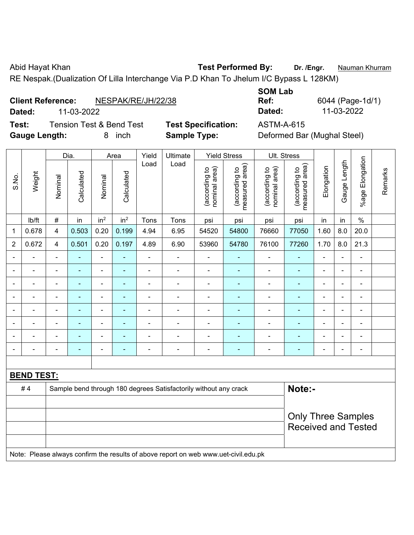RE Nespak.(Dualization Of Lilla Interchange Via P.D Khan To Jhelum I/C Bypass L 128KM)

**Test:** Tension Test & Bend Test **Test Specification:** ASTM-A-615 **Gauge Length:** 8 inch **Sample Type:** Deformed Bar (Mughal Steel)

|                          |            |                    | <b>SOM Lab</b> |                  |
|--------------------------|------------|--------------------|----------------|------------------|
| <b>Client Reference:</b> |            | NESPAK/RE/JH/22/38 | Ref:           | 6044 (Page-1d/1) |
| Dated:                   | 11-03-2022 |                    | Dated:         | 11-03-2022       |

|                | Weight<br>lb/ft   |                                                                                                    | Dia.           |                          | Area                           | Yield                           | Ultimate                                                                            |                                 | <b>Yield Stress</b> | Ult. Stress                  |                            |                |                |                              |  |
|----------------|-------------------|----------------------------------------------------------------------------------------------------|----------------|--------------------------|--------------------------------|---------------------------------|-------------------------------------------------------------------------------------|---------------------------------|---------------------|------------------------------|----------------------------|----------------|----------------|------------------------------|--|
| S.No.          |                   | Calculated<br>Calculated<br>Nominal<br>Nominal<br>in <sup>2</sup><br>in <sup>2</sup><br>$\#$<br>in | Load           | Load                     | nominal area)<br>(according to | measured area)<br>(according to | nominal area)<br>(according to                                                      | measured area)<br>(according to | Elongation          | Gauge Length                 | %age Elongation            | Remarks        |                |                              |  |
|                |                   |                                                                                                    |                |                          |                                | Tons                            | Tons                                                                                | psi                             | psi                 | psi                          | psi                        | in             | in             | $\%$                         |  |
| 1              | 0.678             | 4                                                                                                  | 0.503          | 0.20                     | 0.199                          | 4.94                            | 6.95                                                                                | 54520                           | 54800               | 76660                        | 77050                      | 1.60           | 8.0            | 20.0                         |  |
| $\overline{2}$ | 0.672             | $\overline{4}$                                                                                     | 0.501          | 0.20                     | 0.197                          | 4.89                            | 6.90                                                                                | 53960                           | 54780               | 76100                        | 77260                      | 1.70           | 8.0            | 21.3                         |  |
|                |                   |                                                                                                    |                | ÷                        |                                | L.                              | $\blacksquare$                                                                      |                                 |                     | ÷                            |                            |                | $\overline{a}$ | ä,                           |  |
|                |                   |                                                                                                    | ۰              | $\blacksquare$           |                                |                                 | $\blacksquare$                                                                      | Ē,                              |                     | $\blacksquare$               |                            | ÷              | $\blacksquare$ | $\blacksquare$               |  |
| $\blacksquare$ | $\blacksquare$    | $\blacksquare$                                                                                     | ٠              | ÷,                       | ۰                              | $\blacksquare$                  | $\blacksquare$                                                                      | $\blacksquare$                  | $\blacksquare$      | $\blacksquare$               | ÷,                         | $\blacksquare$ | $\blacksquare$ | $\overline{\phantom{a}}$     |  |
| $\blacksquare$ | $\blacksquare$    | $\blacksquare$                                                                                     | ۰              | Ĭ.                       | ۰                              | $\blacksquare$                  | $\blacksquare$                                                                      | ä,                              | $\blacksquare$      | $\blacksquare$               | $\blacksquare$             | $\blacksquare$ | $\blacksquare$ | $\qquad \qquad \blacksquare$ |  |
|                | ÷,                | $\blacksquare$                                                                                     | $\blacksquare$ | $\overline{\phantom{0}}$ | ۰                              | $\blacksquare$                  | $\blacksquare$                                                                      | $\overline{a}$                  | ÷                   | $\qquad \qquad \blacksquare$ | ÷,                         | $\overline{a}$ | $\blacksquare$ | $\qquad \qquad \blacksquare$ |  |
|                | $\blacksquare$    | $\blacksquare$                                                                                     | $\blacksquare$ | ÷,                       |                                | ä,                              | $\blacksquare$                                                                      | L,                              | $\blacksquare$      | -                            | Ē,                         | $\blacksquare$ | $\blacksquare$ | $\qquad \qquad \blacksquare$ |  |
|                |                   |                                                                                                    |                | $\blacksquare$           |                                |                                 |                                                                                     |                                 |                     |                              | ٠                          |                |                |                              |  |
|                |                   |                                                                                                    |                | ۰                        |                                |                                 |                                                                                     | ÷                               |                     | -                            |                            | ۰              | $\blacksquare$ | $\overline{\phantom{0}}$     |  |
|                |                   |                                                                                                    |                |                          |                                |                                 |                                                                                     |                                 |                     |                              |                            |                |                |                              |  |
|                | <b>BEND TEST:</b> |                                                                                                    |                |                          |                                |                                 |                                                                                     |                                 |                     |                              |                            |                |                |                              |  |
|                | #4                |                                                                                                    |                |                          |                                |                                 | Sample bend through 180 degrees Satisfactorily without any crack                    |                                 |                     |                              | Note:-                     |                |                |                              |  |
|                |                   |                                                                                                    |                |                          |                                |                                 |                                                                                     |                                 |                     |                              |                            |                |                |                              |  |
|                |                   |                                                                                                    |                |                          |                                |                                 |                                                                                     |                                 |                     |                              | <b>Only Three Samples</b>  |                |                |                              |  |
|                |                   |                                                                                                    |                |                          |                                |                                 |                                                                                     |                                 |                     |                              | <b>Received and Tested</b> |                |                |                              |  |
|                |                   |                                                                                                    |                |                          |                                |                                 |                                                                                     |                                 |                     |                              |                            |                |                |                              |  |
|                |                   |                                                                                                    |                |                          |                                |                                 | Note: Please always confirm the results of above report on web www.uet-civil.edu.pk |                                 |                     |                              |                            |                |                |                              |  |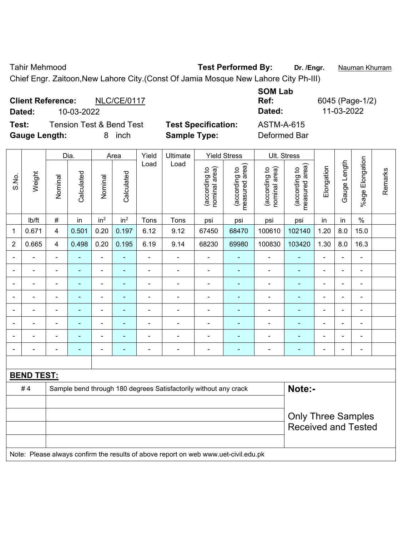Tahir Mehmood **Test Performed By: Dr. /Engr.** Nauman Khurram

Chief Engr. Zaitoon,New Lahore City.(Const Of Jamia Mosque New Lahore City Ph-III)

| <b>Client Reference:</b><br><b>NLC/CE/0117</b><br>10-03-2022<br>Dated: | <b>SOM Lab</b><br>Ref:<br>Dated: | 6045 (Page-1/2)<br>11-03-2022 |
|------------------------------------------------------------------------|----------------------------------|-------------------------------|
| <b>Tension Test &amp; Bend Test</b><br>Test:                           | <b>Test Specification:</b>       | <b>ASTM-A-615</b>             |
| <b>Gauge Length:</b><br>inch                                           | <b>Sample Type:</b>              | Deformed Bar                  |

|                |                   | Dia.<br>Area   |                          |                              |                          |                |                                                                                     |                                |                                 |                                |                                 |                          |                |                 |         |
|----------------|-------------------|----------------|--------------------------|------------------------------|--------------------------|----------------|-------------------------------------------------------------------------------------|--------------------------------|---------------------------------|--------------------------------|---------------------------------|--------------------------|----------------|-----------------|---------|
|                |                   |                |                          |                              |                          | Yield          | Ultimate                                                                            |                                | <b>Yield Stress</b>             |                                | Ult. Stress                     |                          |                |                 |         |
| S.No.          | Weight            | Nominal        | Calculated               | Nominal                      | Calculated               | Load           | Load                                                                                | (according to<br>nominal area) | (according to<br>measured area) | (according to<br>nominal area) | (according to<br>measured area) | Elongation               | Gauge Length   | %age Elongation | Remarks |
|                | lb/ft             | $\#$           | in                       | in <sup>2</sup>              | in <sup>2</sup>          | Tons           | Tons                                                                                | psi                            | psi                             | psi                            | psi                             | in                       | in             | $\%$            |         |
| 1              | 0.671             | $\overline{4}$ | 0.501                    | 0.20                         | 0.197                    | 6.12           | 9.12                                                                                | 67450                          | 68470                           | 100610                         | 102140                          | 1.20                     | 8.0            | 15.0            |         |
| $\overline{2}$ | 0.665             | 4              | 0.498                    | 0.20                         | 0.195                    | 6.19           | 9.14                                                                                | 68230                          | 69980                           | 100830                         | 103420                          | 1.30                     | 8.0            | 16.3            |         |
|                | $\blacksquare$    | $\blacksquare$ | ä,                       | $\overline{\phantom{a}}$     |                          | L              | $\overline{\phantom{a}}$                                                            | $\blacksquare$                 |                                 | $\blacksquare$                 | ä,                              | ä,                       | $\blacksquare$ | ÷,              |         |
|                |                   |                |                          | -                            |                          |                | $\blacksquare$                                                                      | $\blacksquare$                 | ۰                               |                                | ٠                               |                          |                | $\blacksquare$  |         |
|                |                   |                |                          | ä,                           |                          |                | Ē,                                                                                  | $\blacksquare$                 |                                 | $\blacksquare$                 |                                 |                          |                |                 |         |
|                | $\blacksquare$    |                | $\blacksquare$           |                              | $\overline{\phantom{0}}$ | $\blacksquare$ | ÷                                                                                   | $\blacksquare$                 | $\blacksquare$                  | $\blacksquare$                 | ٠                               | $\blacksquare$           |                | $\blacksquare$  |         |
|                | ÷                 | ä,             | ÷                        | $\qquad \qquad \blacksquare$ | ۰                        | $\blacksquare$ | $\blacksquare$                                                                      | $\blacksquare$                 | ۰                               | ÷,                             | ÷                               | L,                       | $\blacksquare$ | $\blacksquare$  |         |
|                | $\blacksquare$    | $\blacksquare$ | $\overline{\phantom{0}}$ | $\overline{\phantom{0}}$     | $\blacksquare$           | $\blacksquare$ | $\blacksquare$                                                                      | $\blacksquare$                 | $\blacksquare$                  | $\blacksquare$                 | $\blacksquare$                  | $\overline{\phantom{a}}$ |                | $\blacksquare$  |         |
|                | $\blacksquare$    | $\blacksquare$ | ÷                        | $\overline{\phantom{0}}$     | $\blacksquare$           | $\blacksquare$ | $\overline{\phantom{a}}$                                                            | $\blacksquare$                 | ÷                               | $\overline{a}$                 | ÷                               | ä,                       | ÷              | $\blacksquare$  |         |
|                | $\blacksquare$    | $\blacksquare$ | $\blacksquare$           | $\overline{\phantom{a}}$     | ۰                        | $\blacksquare$ | $\blacksquare$                                                                      | $\blacksquare$                 | ٠                               | $\overline{\phantom{a}}$       | $\blacksquare$                  | $\blacksquare$           |                | $\blacksquare$  |         |
|                |                   |                |                          |                              |                          |                |                                                                                     |                                |                                 |                                |                                 |                          |                |                 |         |
|                | <b>BEND TEST:</b> |                |                          |                              |                          |                |                                                                                     |                                |                                 |                                |                                 |                          |                |                 |         |
|                | #4                |                |                          |                              |                          |                | Sample bend through 180 degrees Satisfactorily without any crack                    |                                |                                 |                                | Note:-                          |                          |                |                 |         |
|                |                   |                |                          |                              |                          |                |                                                                                     |                                |                                 |                                |                                 |                          |                |                 |         |
|                |                   |                |                          |                              |                          |                |                                                                                     |                                |                                 |                                | <b>Only Three Samples</b>       |                          |                |                 |         |
|                |                   |                |                          |                              |                          |                |                                                                                     |                                |                                 |                                | <b>Received and Tested</b>      |                          |                |                 |         |
|                |                   |                |                          |                              |                          |                |                                                                                     |                                |                                 |                                |                                 |                          |                |                 |         |
|                |                   |                |                          |                              |                          |                | Note: Please always confirm the results of above report on web www.uet-civil.edu.pk |                                |                                 |                                |                                 |                          |                |                 |         |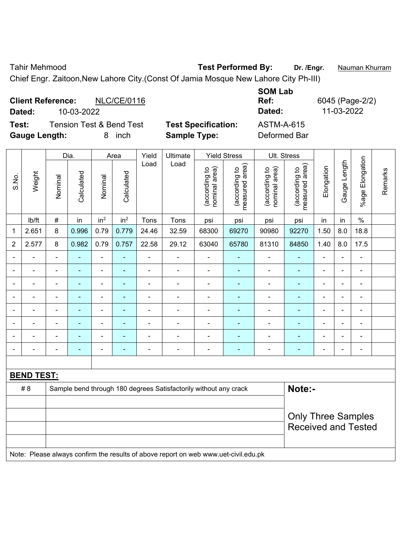Tahir Mehmood **Test Performed By: Dr. /Engr.** Nauman Khurram

Chief Engr. Zaitoon,New Lahore City.(Const Of Jamia Mosque New Lahore City Ph-III)

| <b>Client Reference:</b><br><b>NLC/CE/0116</b><br>10-03-2022<br>Dated:              | <b>SOM Lab</b><br>Ref:<br>Dated:                                                       | 6045 (Page-2/2)<br>11-03-2022 |
|-------------------------------------------------------------------------------------|----------------------------------------------------------------------------------------|-------------------------------|
|                                                                                     |                                                                                        |                               |
| <b>Tension Test &amp; Bend Test</b><br>Test:<br><b>Gauge Length:</b><br><i>inch</i> | <b>Test Specification:</b><br><b>ASTM-A-615</b><br><b>Sample Type:</b><br>Deformed Bar |                               |

|                |                   |                | Dia.           |                          | Area            | Yield          | Ultimate                                                                            |                                | <b>Yield Stress</b>             |                                | Ult. Stress                                             |                |                |                 |         |
|----------------|-------------------|----------------|----------------|--------------------------|-----------------|----------------|-------------------------------------------------------------------------------------|--------------------------------|---------------------------------|--------------------------------|---------------------------------------------------------|----------------|----------------|-----------------|---------|
| S.No.          | Weight            | Nominal        | Calculated     | Nominal                  | Calculated      | Load           | Load                                                                                | nominal area)<br>(according to | measured area)<br>(according to | (according to<br>nominal area) | measured area)<br>(according to                         | Elongation     | Gauge Length   | %age Elongation | Remarks |
|                | Ib/ft             | $\#$           | in             | in <sup>2</sup>          | in <sup>2</sup> | Tons           | Tons                                                                                | psi                            | psi                             | psi                            | psi                                                     | in             | in             | $\%$            |         |
| 1              | 2.651             | 8              | 0.996          | 0.79                     | 0.779           | 24.46          | 32.59                                                                               | 68300                          | 69270                           | 90980                          | 92270                                                   | 1.50           | 8.0            | 18.8            |         |
| $\overline{2}$ | 2.577             | 8              | 0.982          | 0.79                     | 0.757           | 22.58          | 29.12                                                                               | 63040                          | 65780                           | 81310                          | 84850                                                   | 1.40           | 8.0            | 17.5            |         |
|                | ÷,                | $\blacksquare$ | $\blacksquare$ | $\blacksquare$           | $\blacksquare$  | $\blacksquare$ | $\blacksquare$                                                                      | $\blacksquare$                 | $\blacksquare$                  | $\blacksquare$                 | $\blacksquare$                                          | $\blacksquare$ | $\blacksquare$ | ÷,              |         |
|                | $\blacksquare$    | L,             | $\blacksquare$ | $\overline{\phantom{a}}$ | $\blacksquare$  | ä,             | $\blacksquare$                                                                      | $\blacksquare$                 | ۰                               | $\blacksquare$                 | $\blacksquare$                                          | Ē,             |                | $\blacksquare$  |         |
|                | $\blacksquare$    | ä,             | ÷,             | ÷                        | $\blacksquare$  | ä,             | ä,                                                                                  | $\blacksquare$                 | $\blacksquare$                  | ÷                              | $\blacksquare$                                          | ä,             |                | $\blacksquare$  |         |
|                | $\blacksquare$    |                |                | $\overline{\phantom{a}}$ |                 | $\blacksquare$ | $\blacksquare$                                                                      | $\blacksquare$                 |                                 | $\blacksquare$                 |                                                         |                |                | $\blacksquare$  |         |
|                |                   |                |                |                          |                 |                | $\blacksquare$                                                                      | $\blacksquare$                 | $\overline{\phantom{0}}$        | $\blacksquare$                 | $\overline{\phantom{0}}$                                |                |                |                 |         |
|                |                   | Ē,             |                | $\blacksquare$           |                 |                |                                                                                     |                                |                                 |                                |                                                         |                |                |                 |         |
| $\blacksquare$ | $\blacksquare$    | $\blacksquare$ |                | $\blacksquare$           |                 |                | $\blacksquare$                                                                      | $\blacksquare$                 | $\blacksquare$                  | $\overline{\phantom{a}}$       |                                                         | L,             | ÷              | $\blacksquare$  |         |
| $\blacksquare$ |                   | $\blacksquare$ | $\blacksquare$ | $\overline{\phantom{a}}$ | $\blacksquare$  | $\blacksquare$ | $\overline{\phantom{a}}$                                                            | $\blacksquare$                 | $\blacksquare$                  | $\blacksquare$                 | $\blacksquare$                                          | $\blacksquare$ | $\blacksquare$ | $\blacksquare$  |         |
|                |                   |                |                |                          |                 |                |                                                                                     |                                |                                 |                                |                                                         |                |                |                 |         |
|                | <b>BEND TEST:</b> |                |                |                          |                 |                |                                                                                     |                                |                                 |                                |                                                         |                |                |                 |         |
|                | # 8               |                |                |                          |                 |                | Sample bend through 180 degrees Satisfactorily without any crack                    |                                |                                 |                                | Note:-                                                  |                |                |                 |         |
|                |                   |                |                |                          |                 |                |                                                                                     |                                |                                 |                                |                                                         |                |                |                 |         |
|                |                   |                |                |                          |                 |                |                                                                                     |                                |                                 |                                | <b>Only Three Samples</b><br><b>Received and Tested</b> |                |                |                 |         |
|                |                   |                |                |                          |                 |                | Note: Please always confirm the results of above report on web www.uet-civil.edu.pk |                                |                                 |                                |                                                         |                |                |                 |         |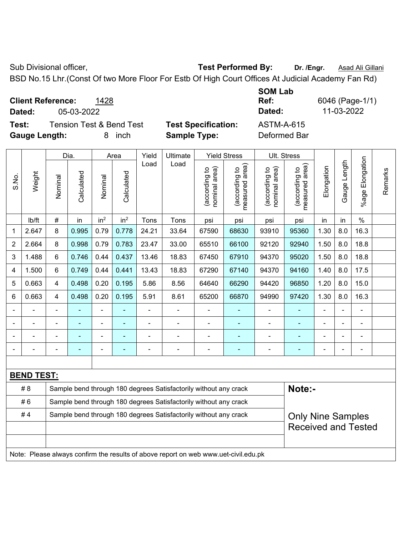Sub Divisional officer, **Test Performed By:** Dr. /Engr. **Asad Ali Gillani** Collection Association Association Association Association Association Association Association Association Association Association Association Asso

BSD No.15 Lhr.(Const Of two More Floor For Estb Of High Court Offices At Judicial Academy Fan Rd)

**Client Reference:** 1428

**Dated:** 05-03-2022 **Dated:** 11-03-2022

**Test:** Tension Test & Bend Test **Test Specification:** ASTM-A-615 **Gauge Length:** 8 inch **Sample Type:** Deformed Bar

**SOM Lab** 

|                |                   |                                                                  | Dia.                     |                 | Area            | Yield<br>Ultimate |                                                                                     | <b>Yield Stress</b>            |                                 | Ult. Stress                    |                                 |                          |              |                          |         |
|----------------|-------------------|------------------------------------------------------------------|--------------------------|-----------------|-----------------|-------------------|-------------------------------------------------------------------------------------|--------------------------------|---------------------------------|--------------------------------|---------------------------------|--------------------------|--------------|--------------------------|---------|
| S.No.          | Weight            | Nominal                                                          | Calculated               | Nominal         | Calculated      | Load              | Load                                                                                | nominal area)<br>(according to | (according to<br>measured area) | (according to<br>nominal area) | (according to<br>measured area) | Elongation               | Gauge Length | Elongation<br>$%$ age    | Remarks |
|                | lb/ft             | $\#$                                                             | in                       | in <sup>2</sup> | in <sup>2</sup> | Tons              | Tons                                                                                | psi                            | psi                             | psi                            | psi                             | in                       | in           | $\frac{0}{0}$            |         |
| 1              | 2.647             | 8                                                                | 0.995                    | 0.79            | 0.778           | 24.21             | 33.64                                                                               | 67590                          | 68630                           | 93910                          | 95360                           | 1.30                     | 8.0          | 16.3                     |         |
| $\overline{2}$ | 2.664             | 8                                                                | 0.998                    | 0.79            | 0.783           | 23.47             | 33.00                                                                               | 65510                          | 66100                           | 92120                          | 92940                           | 1.50                     | 8.0          | 18.8                     |         |
| 3              | 1.488             | 6                                                                | 0.746                    | 0.44            | 0.437           | 13.46             | 18.83                                                                               | 67450                          | 67910                           | 94370                          | 95020                           | 1.50                     | 8.0          | 18.8                     |         |
| 4              | 1.500             | 6                                                                | 0.749                    | 0.44            | 0.441           | 13.43             | 18.83                                                                               | 67290                          | 67140                           | 94370                          | 94160                           | 1.40                     | 8.0          | 17.5                     |         |
| 5              | 0.663             | $\overline{4}$                                                   | 0.498                    | 0.20            | 0.195           | 5.86              | 8.56                                                                                | 64640                          | 66290                           | 94420                          | 96850                           | 1.20                     | 8.0          | 15.0                     |         |
| 6              | 0.663             | $\overline{\mathbf{4}}$                                          | 0.498                    | 0.20            | 0.195           | 5.91              | 8.61                                                                                | 65200                          | 66870                           | 94990                          | 97420                           | 1.30                     | 8.0          | 16.3                     |         |
|                |                   |                                                                  |                          | $\overline{a}$  |                 |                   |                                                                                     |                                |                                 |                                |                                 | $\overline{a}$           |              | L.                       |         |
|                |                   | $\blacksquare$                                                   |                          | $\blacksquare$  |                 | ä,                | $\blacksquare$                                                                      | ÷,                             |                                 |                                |                                 |                          |              | $\blacksquare$           |         |
|                |                   |                                                                  | $\overline{\phantom{0}}$ | $\blacksquare$  |                 | -                 | $\overline{\phantom{0}}$                                                            | ۰                              | $\blacksquare$                  |                                | $\blacksquare$                  |                          |              | $\overline{\phantom{0}}$ |         |
|                |                   |                                                                  |                          |                 | $\blacksquare$  |                   | $\blacksquare$                                                                      | ۰                              | $\overline{\phantom{0}}$        | $\overline{\phantom{a}}$       | ÷                               | $\blacksquare$           |              | ÷,                       |         |
|                |                   |                                                                  |                          |                 |                 |                   |                                                                                     |                                |                                 |                                |                                 |                          |              |                          |         |
|                | <b>BEND TEST:</b> |                                                                  |                          |                 |                 |                   |                                                                                     |                                |                                 |                                |                                 |                          |              |                          |         |
|                | # 8               |                                                                  |                          |                 |                 |                   | Sample bend through 180 degrees Satisfactorily without any crack                    |                                |                                 |                                | Note:-                          |                          |              |                          |         |
|                | #6                |                                                                  |                          |                 |                 |                   | Sample bend through 180 degrees Satisfactorily without any crack                    |                                |                                 |                                |                                 |                          |              |                          |         |
|                | #4                | Sample bend through 180 degrees Satisfactorily without any crack |                          |                 |                 |                   |                                                                                     |                                |                                 |                                |                                 | <b>Only Nine Samples</b> |              |                          |         |
|                |                   |                                                                  |                          |                 |                 |                   |                                                                                     |                                |                                 |                                | <b>Received and Tested</b>      |                          |              |                          |         |
|                |                   |                                                                  |                          |                 |                 |                   |                                                                                     |                                |                                 |                                |                                 |                          |              |                          |         |
|                |                   |                                                                  |                          |                 |                 |                   | Note: Please always confirm the results of above report on web www.uet-civil.edu.pk |                                |                                 |                                |                                 |                          |              |                          |         |

**Ref:** 6046 (Page-1/1)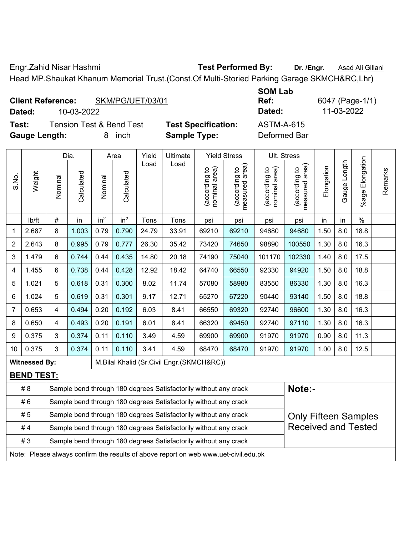Engr.Zahid Nisar Hashmi **Test Performed By: Dr. /Engr.** Asad Ali Gillani

Head MP.Shaukat Khanum Memorial Trust.(Const.Of Multi-Storied Parking Garage SKMCH&RC,Lhr)

| <b>Client Reference:</b> | SKM/PG/UET/03/01 |
|--------------------------|------------------|
|--------------------------|------------------|

**Dated:** 10-03-2022 **Dated:** 11-03-2022

**Test:** Tension Test & Bend Test **Test Specification:** ASTM-A-615 **Gauge Length:** 8 inch **Sample Type:** Deformed Bar

**SOM Lab Ref:** 6047 (Page-1/1)

|                |                      |                                                                  | Dia.       |                 | Area            |       | Yield<br>Ultimate                                                                   |                                | <b>Yield Stress</b>                         |                                | Ult. Stress                     |            |              |                             |         |
|----------------|----------------------|------------------------------------------------------------------|------------|-----------------|-----------------|-------|-------------------------------------------------------------------------------------|--------------------------------|---------------------------------------------|--------------------------------|---------------------------------|------------|--------------|-----------------------------|---------|
| S.No.          | Weight               | Nominal                                                          | Calculated | Nominal         | Calculated      | Load  | Load                                                                                | (according to<br>nominal area) | (according to<br>measured area)<br>measured | (according to<br>nominal area) | (according to<br>measured area) | Elongation | Gauge Length | Elongation<br>$%$ age       | Remarks |
|                | lb/ft                | #                                                                | in         | in <sup>2</sup> | in <sup>2</sup> | Tons  | Tons                                                                                | psi                            | psi                                         | psi                            | psi                             | in         | in           | $\%$                        |         |
| $\mathbf{1}$   | 2.687                | 8                                                                | 1.003      | 0.79            | 0.790           | 24.79 | 33.91                                                                               | 69210                          | 69210                                       | 94680                          | 94680                           | 1.50       | 8.0          | 18.8                        |         |
| $\overline{2}$ | 2.643                | 8                                                                | 0.995      | 0.79            | 0.777           | 26.30 | 35.42                                                                               | 73420                          | 74650                                       | 98890                          | 100550                          | 1.30       | 8.0          | 16.3                        |         |
| 3              | 1.479                | 6                                                                | 0.744      | 0.44            | 0.435           | 14.80 | 20.18                                                                               | 74190                          | 75040                                       | 101170                         | 102330                          | 1.40       | 8.0          | 17.5                        |         |
| 4              | 1.455                | 6                                                                | 0.738      | 0.44            | 0.428           | 12.92 | 18.42                                                                               | 64740                          | 66550                                       | 92330                          | 94920                           | 1.50       | 8.0          | 18.8                        |         |
| 5              | 1.021                | 5                                                                | 0.618      | 0.31            | 0.300           | 8.02  | 11.74                                                                               | 57080                          | 58980                                       | 83550                          | 86330                           | 1.30       | 8.0          | 16.3                        |         |
| 6              | 1.024                | 5                                                                | 0.619      | 0.31            | 0.301           | 9.17  | 12.71                                                                               | 65270                          | 67220                                       | 90440                          | 93140                           | 1.50       | 8.0          | 18.8                        |         |
| $\overline{7}$ | 0.653                | $\overline{\mathbf{4}}$                                          | 0.494      | 0.20            | 0.192           | 6.03  | 8.41                                                                                | 66550                          | 69320                                       | 92740                          | 96600                           | 1.30       | 8.0          | 16.3                        |         |
| 8              | 0.650                | $\overline{4}$                                                   | 0.493      | 0.20            | 0.191           | 6.01  | 8.41                                                                                | 66320                          | 69450                                       | 92740                          | 97110                           | 1.30       | 8.0          | 16.3                        |         |
| 9              | 0.375                | 3                                                                | 0.374      | 0.11            | 0.110           | 3.49  | 4.59                                                                                | 69900                          | 69900                                       | 91970                          | 91970                           | 0.90       | 8.0          | 11.3                        |         |
| 10             | 0.375                | 3                                                                | 0.374      | 0.11            | 0.110           | 3.41  | 4.59                                                                                | 68470                          | 68470                                       | 91970                          | 91970                           | 1.00       | 8.0          | 12.5                        |         |
|                | <b>Witnessed By:</b> |                                                                  |            |                 |                 |       | M.Bilal Khalid (Sr.Civil Engr. (SKMCH&RC))                                          |                                |                                             |                                |                                 |            |              |                             |         |
|                | <b>BEND TEST:</b>    |                                                                  |            |                 |                 |       |                                                                                     |                                |                                             |                                |                                 |            |              |                             |         |
|                | # 8                  |                                                                  |            |                 |                 |       | Sample bend through 180 degrees Satisfactorily without any crack                    |                                |                                             |                                | Note:-                          |            |              |                             |         |
|                | #6                   |                                                                  |            |                 |                 |       | Sample bend through 180 degrees Satisfactorily without any crack                    |                                |                                             |                                |                                 |            |              |                             |         |
|                | # 5                  | Sample bend through 180 degrees Satisfactorily without any crack |            |                 |                 |       |                                                                                     |                                |                                             |                                |                                 |            |              | <b>Only Fifteen Samples</b> |         |
|                | #4                   |                                                                  |            |                 |                 |       | Sample bend through 180 degrees Satisfactorily without any crack                    |                                |                                             |                                | <b>Received and Tested</b>      |            |              |                             |         |
|                | #3                   |                                                                  |            |                 |                 |       | Sample bend through 180 degrees Satisfactorily without any crack                    |                                |                                             |                                |                                 |            |              |                             |         |
|                |                      |                                                                  |            |                 |                 |       | Note: Please always confirm the results of above report on web www.uet-civil.edu.pk |                                |                                             |                                |                                 |            |              |                             |         |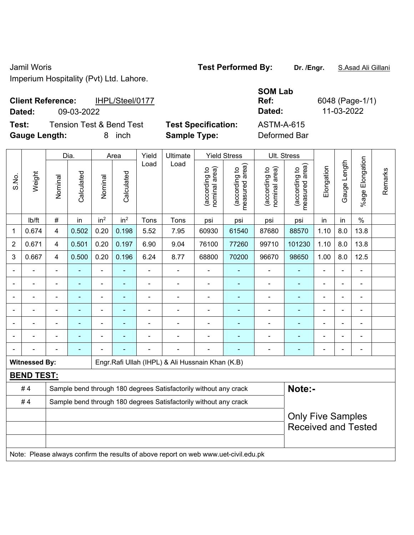# Jamil Woris **Test Performed By: Dr. /Engr.** S.Asad Ali Gillani

Imperium Hospitality (Pvt) Ltd. Lahore.

## **Client Reference:** IHPL/Steel/0177 **Dated:** 09-03-2022 **Dated:** 11-03-2022

S.No.

Weight

**Test:** Tension Test & Bend Test **Test Specification:** ASTM-A-615 **Gauge Length:** 8 inch **Sample Type:** Deformed Bar

**SOM Lab** 

Dia. | Area | Yield | Ultimate | Yield Stress | Ult. Stress %age Elongation %age Elongation Load Load Gauge Length Gauge Length (according to<br>measured area) measured area) (according to<br>measured area) measured area) (according to<br>nominal area) (according to<br>nominal area) Elongation **Elongation** nominal area) nominal area) (according to (according to (according to (according to Remarks **Calculated Calculated** Calculated Calculated Nominal Nominal Vominal Vominal <code>ib/ft</code>  $\mid$  #  $\mid$  in  $\mid$  in<sup>2</sup>  $\mid$  in<sup>2</sup>  $\mid$  Tons  $\mid$  psi  $\mid$  psi  $\mid$  psi  $\mid$  psi  $\mid$  in  $\mid$  in  $\mid$  % 1 | 0.674 | 4 | 0.502 | 0.20 | 0.198 | 5.52 | 7.95 | 60930 | 61540 | 87680 | 88570 | 1.10 | 8.0 | 13.8 2 | 0.671 | 4 | 0.501 | 0.20 | 0.197 | 6.90 | 9.04 | 76100 | 77260 | 99710 | 101230 | 1.10 | 8.0 | 13.8 3 | 0.667 | 4 | 0.500 | 0.20 | 0.196 | 6.24 | 8.77 | 68800 | 70200 | 96670 | 98650 | 1.00 | 8.0 | 12.5 - - - - - - - - - - - - - - - - - - - - - - - - - - - - - - - - - - - - - - - - - - - - - - - - - - - - - - - - - - - - - - - - - - - - - - - - - - - - - - - - - - - - - - - - - - - - - - - - - - - - - - - - - **Witnessed By: Engr.Rafi Ullah (IHPL) & Ali Hussnain Khan (K.B) BEND TEST:**  # 4 Sample bend through 180 degrees Satisfactorily without any crack **Note:-**#4 Sample bend through 180 degrees Satisfactorily without any crack

Only Five Samples Received and Tested

Note: Please always confirm the results of above report on web www.uet-civil.edu.pk

**Ref:** 6048 (Page-1/1)

Remarks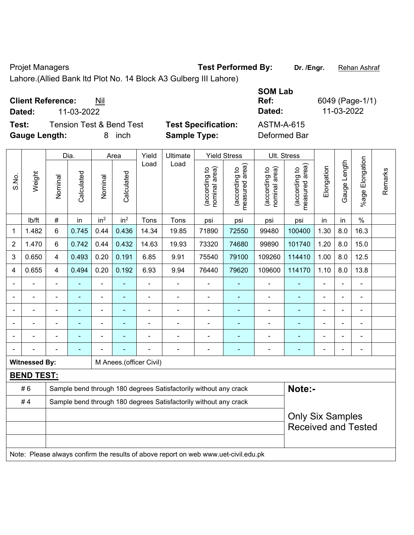Projet Managers **Test Performed By:** Dr. /Engr. **Rehan Ashraf** 

Lahore.(Allied Bank ltd Plot No. 14 Block A3 Gulberg III Lahore)

**Client Reference:** Nil

**Test:** Tension Test & Bend Test **Test Specification:** ASTM-A-615 **Gauge Length:** 8 inch **Sample Type:** Deformed Bar

**SOM Lab Ref:** 6049 (Page-1/1) **Dated:** 11-03-2022 **Dated:** 11-03-2022

|                | Weight                                                                              | Dia.           |                          | Area            |                 | Yield                   | Ultimate                                                         | <b>Yield Stress</b>            |                                 | Ult. Stress                    |                                                       |                |              |                          |         |
|----------------|-------------------------------------------------------------------------------------|----------------|--------------------------|-----------------|-----------------|-------------------------|------------------------------------------------------------------|--------------------------------|---------------------------------|--------------------------------|-------------------------------------------------------|----------------|--------------|--------------------------|---------|
| S.No.          |                                                                                     | Nominal        | Calculated               | Nominal         | Calculated      | Load                    | Load                                                             | nominal area)<br>(according to | (according to<br>measured area) | nominal area)<br>(according to | measured area)<br>(according to                       | Elongation     | Gauge Length | Elongation<br>$%$ age    | Remarks |
|                | lb/ft                                                                               | #              | in                       | in <sup>2</sup> | in <sup>2</sup> | Tons                    | Tons                                                             | psi                            | psi                             | psi                            | psi                                                   | in             | in           | $\frac{0}{0}$            |         |
| 1              | 1.482                                                                               | 6              | 0.745                    | 0.44            | 0.436           | 14.34                   | 19.85                                                            | 71890                          | 72550                           | 99480                          | 100400                                                | 1.30           | 8.0          | 16.3                     |         |
| $\overline{2}$ | 1.470                                                                               | 6              | 0.742                    | 0.44            | 0.432           | 14.63                   | 19.93                                                            | 73320                          | 74680                           | 99890                          | 101740                                                | 1.20           | 8.0          | 15.0                     |         |
| 3              | 0.650                                                                               | $\overline{4}$ | 0.493                    | 0.20            | 0.191           | 6.85                    | 9.91                                                             | 75540                          | 79100                           | 109260                         | 114410                                                | 1.00           | 8.0          | 12.5                     |         |
| 4              | 0.655                                                                               | 4              | 0.494                    | 0.20            | 0.192           | 6.93                    | 9.94                                                             | 76440                          | 79620                           | 109600                         | 114170                                                | 1.10           | 8.0          | 13.8                     |         |
| $\blacksquare$ |                                                                                     | $\blacksquare$ | $\overline{\phantom{0}}$ | ÷,              |                 | ÷,                      | $\blacksquare$                                                   | ä,                             | $\overline{a}$                  | $\blacksquare$                 | ٠                                                     | $\blacksquare$ | ä,           | ÷,                       |         |
|                | $\overline{a}$                                                                      | ä,             | ÷                        | ÷               |                 |                         | $\blacksquare$                                                   | ä,                             | ٠                               | $\blacksquare$                 | $\blacksquare$                                        |                |              | $\blacksquare$           |         |
|                | $\blacksquare$                                                                      | $\blacksquare$ | $\blacksquare$           | ÷,              |                 | $\blacksquare$          | ä,                                                               | ä,                             | $\blacksquare$                  | ä,                             | $\blacksquare$                                        | $\blacksquare$ |              | $\blacksquare$           |         |
|                |                                                                                     |                | ÷                        | ä,              |                 |                         | Ě.                                                               | ä,                             |                                 | ä,                             | ۰                                                     |                |              | $\overline{a}$           |         |
|                |                                                                                     |                |                          |                 |                 |                         |                                                                  |                                |                                 |                                |                                                       |                |              |                          |         |
|                |                                                                                     |                | $\overline{\phantom{0}}$ |                 |                 |                         | $\overline{\phantom{0}}$                                         | $\blacksquare$                 | ٠                               | ٠                              | $\overline{\phantom{0}}$                              |                |              | $\overline{\phantom{0}}$ |         |
|                | <b>Witnessed By:</b>                                                                |                |                          |                 |                 | M Anees.(officer Civil) |                                                                  |                                |                                 |                                |                                                       |                |              |                          |         |
|                | <b>BEND TEST:</b>                                                                   |                |                          |                 |                 |                         |                                                                  |                                |                                 |                                |                                                       |                |              |                          |         |
|                | #6                                                                                  |                |                          |                 |                 |                         | Sample bend through 180 degrees Satisfactorily without any crack |                                |                                 |                                | Note:-                                                |                |              |                          |         |
|                | #4                                                                                  |                |                          |                 |                 |                         | Sample bend through 180 degrees Satisfactorily without any crack |                                |                                 |                                |                                                       |                |              |                          |         |
|                |                                                                                     |                |                          |                 |                 |                         |                                                                  |                                |                                 |                                | <b>Only Six Samples</b><br><b>Received and Tested</b> |                |              |                          |         |
|                | Note: Please always confirm the results of above report on web www.uet-civil.edu.pk |                |                          |                 |                 |                         |                                                                  |                                |                                 |                                |                                                       |                |              |                          |         |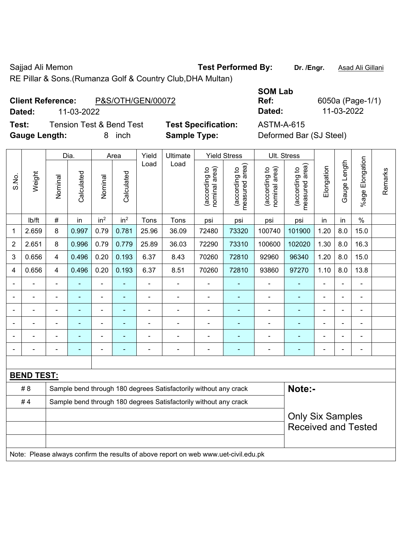Sajjad Ali Memon **Test Performed By:** Dr. /Engr. **Asad Ali Gillani** Cali Ali Gillani

RE Pillar & Sons.(Rumanza Golf & Country Club,DHA Multan)

## **Client Reference:** P&S/OTH/GEN/00072

**Test:** Tension Test & Bend Test **Test Specification:** ASTM-**Gauge Length:** 8 inch **Sample Type:** Deformed Bar (SJ Steel)

|        |                          |                          |                            | <b>SOM Lab</b> |                  |  |  |  |
|--------|--------------------------|--------------------------|----------------------------|----------------|------------------|--|--|--|
|        | <b>Client Reference:</b> | P&S/OTH/GEN/00072        |                            | Ref:           | 6050a (Page-1/1) |  |  |  |
| Dated: | 11-03-2022               |                          |                            | Dated:         | 11-03-2022       |  |  |  |
| Test:  |                          | Tension Test & Bend Test | <b>Test Specification:</b> | ASTM-A-615     |                  |  |  |  |

|                |                                                                                     | Dia.           |                                                                  | Area            |                 | Yield          | Ultimate                                                         | <b>Yield Stress</b>            |                                 | Ult. Stress                    |                                                       |                |              |                 |         |
|----------------|-------------------------------------------------------------------------------------|----------------|------------------------------------------------------------------|-----------------|-----------------|----------------|------------------------------------------------------------------|--------------------------------|---------------------------------|--------------------------------|-------------------------------------------------------|----------------|--------------|-----------------|---------|
| S.No.          | Weight                                                                              | Nominal        | Calculated                                                       | Nominal         | Calculated      | Load           | Load                                                             | (according to<br>nominal area) | (according to<br>measured area) | (according to<br>nominal area) | (according to<br>measured area)                       | Elongation     | Gauge Length | %age Elongation | Remarks |
|                | lb/ft                                                                               | $\#$           | in                                                               | in <sup>2</sup> | in <sup>2</sup> | Tons           | Tons                                                             | psi                            | psi                             | psi                            | psi                                                   | in             | in           | $\frac{0}{0}$   |         |
| 1              | 2.659                                                                               | 8              | 0.997                                                            | 0.79            | 0.781           | 25.96          | 36.09                                                            | 72480                          | 73320                           | 100740                         | 101900                                                | 1.20           | 8.0          | 15.0            |         |
| $\overline{2}$ | 2.651                                                                               | 8              | 0.996                                                            | 0.79            | 0.779           | 25.89          | 36.03                                                            | 72290                          | 73310                           | 100600                         | 102020                                                | 1.30           | 8.0          | 16.3            |         |
| 3              | 0.656                                                                               | $\overline{4}$ | 0.496                                                            | 0.20            | 0.193           | 6.37           | 8.43                                                             | 70260                          | 72810                           | 92960                          | 96340                                                 | 1.20           | 8.0          | 15.0            |         |
| $\overline{4}$ | 0.656                                                                               | 4              | 0.496                                                            | 0.20            | 0.193           | 6.37           | 8.51                                                             | 70260                          | 72810                           | 93860                          | 97270                                                 | 1.10           | 8.0          | 13.8            |         |
|                | ä,                                                                                  | $\blacksquare$ | ÷,                                                               | $\blacksquare$  |                 | $\blacksquare$ | $\blacksquare$                                                   | $\blacksquare$                 |                                 | $\blacksquare$                 | $\blacksquare$                                        | $\blacksquare$ | ÷.           | ÷,              |         |
|                | ä,                                                                                  | $\blacksquare$ | ÷,                                                               | ä,              | ۰               | L,             | $\blacksquare$                                                   | $\blacksquare$                 | $\blacksquare$                  | $\blacksquare$                 | $\blacksquare$                                        | $\blacksquare$ |              | ä,              |         |
|                |                                                                                     |                | $\blacksquare$                                                   | ä,              |                 | $\blacksquare$ | ÷                                                                | $\blacksquare$                 |                                 | $\blacksquare$                 | ä,                                                    |                |              |                 |         |
|                |                                                                                     |                |                                                                  |                 |                 |                |                                                                  |                                |                                 |                                |                                                       |                |              |                 |         |
|                |                                                                                     |                |                                                                  |                 |                 |                |                                                                  | $\blacksquare$                 | $\blacksquare$                  |                                | $\blacksquare$                                        |                |              | $\blacksquare$  |         |
| $\blacksquare$ | $\overline{a}$                                                                      | $\blacksquare$ | $\blacksquare$                                                   | $\blacksquare$  | $\blacksquare$  | $\blacksquare$ | $\frac{1}{2}$                                                    | $\blacksquare$                 | ٠                               | $\overline{\phantom{a}}$       | $\blacksquare$                                        | $\blacksquare$ | ÷            | ÷,              |         |
|                |                                                                                     |                |                                                                  |                 |                 |                |                                                                  |                                |                                 |                                |                                                       |                |              |                 |         |
|                | <b>BEND TEST:</b>                                                                   |                |                                                                  |                 |                 |                |                                                                  |                                |                                 |                                |                                                       |                |              |                 |         |
|                | # 8                                                                                 |                |                                                                  |                 |                 |                | Sample bend through 180 degrees Satisfactorily without any crack |                                |                                 |                                |                                                       | Note:-         |              |                 |         |
|                | #4                                                                                  |                | Sample bend through 180 degrees Satisfactorily without any crack |                 |                 |                |                                                                  |                                |                                 |                                |                                                       |                |              |                 |         |
|                |                                                                                     |                |                                                                  |                 |                 |                |                                                                  |                                |                                 |                                | <b>Only Six Samples</b><br><b>Received and Tested</b> |                |              |                 |         |
|                | Note: Please always confirm the results of above report on web www.uet-civil.edu.pk |                |                                                                  |                 |                 |                |                                                                  |                                |                                 |                                |                                                       |                |              |                 |         |